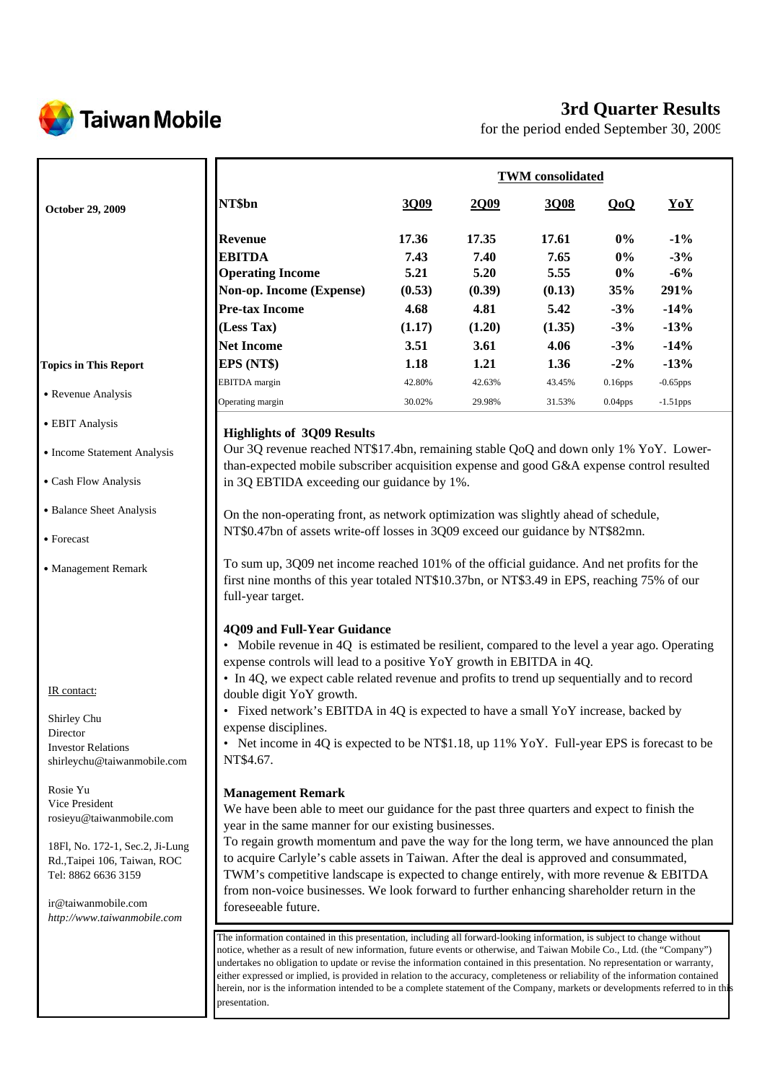

# **3rd Quarter Results**

for the period ended September 30, 2009

|                                                                                                                                                                                                        |                                                                                                                                                                                                                                                                                                                                                                                                                                                                                                                                                                                                                                                                        | <b>TWM</b> consolidated |               |               |                |                 |  |
|--------------------------------------------------------------------------------------------------------------------------------------------------------------------------------------------------------|------------------------------------------------------------------------------------------------------------------------------------------------------------------------------------------------------------------------------------------------------------------------------------------------------------------------------------------------------------------------------------------------------------------------------------------------------------------------------------------------------------------------------------------------------------------------------------------------------------------------------------------------------------------------|-------------------------|---------------|---------------|----------------|-----------------|--|
| October 29, 2009                                                                                                                                                                                       | NT\$bn                                                                                                                                                                                                                                                                                                                                                                                                                                                                                                                                                                                                                                                                 | 3Q09                    | 2Q09          | 3Q08          | QoQ            | YoY             |  |
|                                                                                                                                                                                                        | <b>Revenue</b><br><b>EBITDA</b>                                                                                                                                                                                                                                                                                                                                                                                                                                                                                                                                                                                                                                        | 17.36<br>7.43           | 17.35<br>7.40 | 17.61<br>7.65 | $0\%$<br>$0\%$ | $-1\%$<br>$-3%$ |  |
|                                                                                                                                                                                                        | <b>Operating Income</b>                                                                                                                                                                                                                                                                                                                                                                                                                                                                                                                                                                                                                                                | 5.21                    | 5.20          | 5.55          | $0\%$          | $-6%$           |  |
|                                                                                                                                                                                                        | Non-op. Income (Expense)                                                                                                                                                                                                                                                                                                                                                                                                                                                                                                                                                                                                                                               | (0.53)                  | (0.39)        | (0.13)        | 35%            | 291%            |  |
|                                                                                                                                                                                                        | <b>Pre-tax Income</b>                                                                                                                                                                                                                                                                                                                                                                                                                                                                                                                                                                                                                                                  | 4.68                    | 4.81          | 5.42          | $-3%$          | $-14%$          |  |
|                                                                                                                                                                                                        | (Less Tax)                                                                                                                                                                                                                                                                                                                                                                                                                                                                                                                                                                                                                                                             | (1.17)                  | (1.20)        | (1.35)        | $-3%$          | $-13%$          |  |
|                                                                                                                                                                                                        | <b>Net Income</b>                                                                                                                                                                                                                                                                                                                                                                                                                                                                                                                                                                                                                                                      | 3.51                    | 3.61          | 4.06          | $-3%$          | $-14%$          |  |
| <b>Topics in This Report</b>                                                                                                                                                                           | EPS (NT\$)                                                                                                                                                                                                                                                                                                                                                                                                                                                                                                                                                                                                                                                             | 1.18                    | 1.21          | 1.36          | $-2\%$         | $-13%$          |  |
| • Revenue Analysis                                                                                                                                                                                     | <b>EBITDA</b> margin                                                                                                                                                                                                                                                                                                                                                                                                                                                                                                                                                                                                                                                   | 42.80%                  | 42.63%        | 43.45%        | $0.16$ pps     | $-0.65$ pps     |  |
|                                                                                                                                                                                                        | Operating margin                                                                                                                                                                                                                                                                                                                                                                                                                                                                                                                                                                                                                                                       | 30.02%                  | 29.98%        | 31.53%        | $0.04$ pps     | $-1.51$ pps     |  |
| • EBIT Analysis                                                                                                                                                                                        | <b>Highlights of 3Q09 Results</b>                                                                                                                                                                                                                                                                                                                                                                                                                                                                                                                                                                                                                                      |                         |               |               |                |                 |  |
| • Income Statement Analysis                                                                                                                                                                            | Our 3Q revenue reached NT\$17.4bn, remaining stable QoQ and down only 1% YoY. Lower-<br>than-expected mobile subscriber acquisition expense and good G&A expense control resulted                                                                                                                                                                                                                                                                                                                                                                                                                                                                                      |                         |               |               |                |                 |  |
| • Cash Flow Analysis                                                                                                                                                                                   | in 3Q EBTIDA exceeding our guidance by 1%.                                                                                                                                                                                                                                                                                                                                                                                                                                                                                                                                                                                                                             |                         |               |               |                |                 |  |
| • Balance Sheet Analysis                                                                                                                                                                               | On the non-operating front, as network optimization was slightly ahead of schedule,                                                                                                                                                                                                                                                                                                                                                                                                                                                                                                                                                                                    |                         |               |               |                |                 |  |
| • Forecast                                                                                                                                                                                             | NT\$0.47bn of assets write-off losses in 3Q09 exceed our guidance by NT\$82mn.                                                                                                                                                                                                                                                                                                                                                                                                                                                                                                                                                                                         |                         |               |               |                |                 |  |
| • Management Remark                                                                                                                                                                                    | To sum up, 3Q09 net income reached 101% of the official guidance. And net profits for the<br>first nine months of this year totaled NT\$10.37bn, or NT\$3.49 in EPS, reaching 75% of our<br>full-year target.                                                                                                                                                                                                                                                                                                                                                                                                                                                          |                         |               |               |                |                 |  |
| IR contact:<br>Shirley Chu                                                                                                                                                                             | 4Q09 and Full-Year Guidance<br>• Mobile revenue in 4Q is estimated be resilient, compared to the level a year ago. Operating<br>expense controls will lead to a positive YoY growth in EBITDA in 4Q.<br>• In 4Q, we expect cable related revenue and profits to trend up sequentially and to record<br>double digit YoY growth.<br>• Fixed network's EBITDA in 4Q is expected to have a small YoY increase, backed by                                                                                                                                                                                                                                                  |                         |               |               |                |                 |  |
| Director                                                                                                                                                                                               | expense disciplines.                                                                                                                                                                                                                                                                                                                                                                                                                                                                                                                                                                                                                                                   |                         |               |               |                |                 |  |
| <b>Investor Relations</b>                                                                                                                                                                              | Net income in 4Q is expected to be NT\$1.18, up 11% YoY. Full-year EPS is forecast to be                                                                                                                                                                                                                                                                                                                                                                                                                                                                                                                                                                               |                         |               |               |                |                 |  |
| shirleychu@taiwanmobile.com                                                                                                                                                                            | NT\$4.67.                                                                                                                                                                                                                                                                                                                                                                                                                                                                                                                                                                                                                                                              |                         |               |               |                |                 |  |
| Rosie Yu<br>Vice President<br>rosieyu@taiwanmobile.com<br>18Fl, No. 172-1, Sec.2, Ji-Lung<br>Rd., Taipei 106, Taiwan, ROC<br>Tel: 8862 6636 3159<br>ir@taiwanmobile.com<br>http://www.taiwanmobile.com | <b>Management Remark</b><br>We have been able to meet our guidance for the past three quarters and expect to finish the<br>year in the same manner for our existing businesses.<br>To regain growth momentum and pave the way for the long term, we have announced the plan<br>to acquire Carlyle's cable assets in Taiwan. After the deal is approved and consummated,<br>TWM's competitive landscape is expected to change entirely, with more revenue & EBITDA<br>from non-voice businesses. We look forward to further enhancing shareholder return in the<br>foreseeable future.                                                                                  |                         |               |               |                |                 |  |
|                                                                                                                                                                                                        | The information contained in this presentation, including all forward-looking information, is subject to change without<br>notice, whether as a result of new information, future events or otherwise, and Taiwan Mobile Co., Ltd. (the "Company")<br>undertakes no obligation to update or revise the information contained in this presentation. No representation or warranty,<br>either expressed or implied, is provided in relation to the accuracy, completeness or reliability of the information contained<br>herein, nor is the information intended to be a complete statement of the Company, markets or developments referred to in this<br>presentation. |                         |               |               |                |                 |  |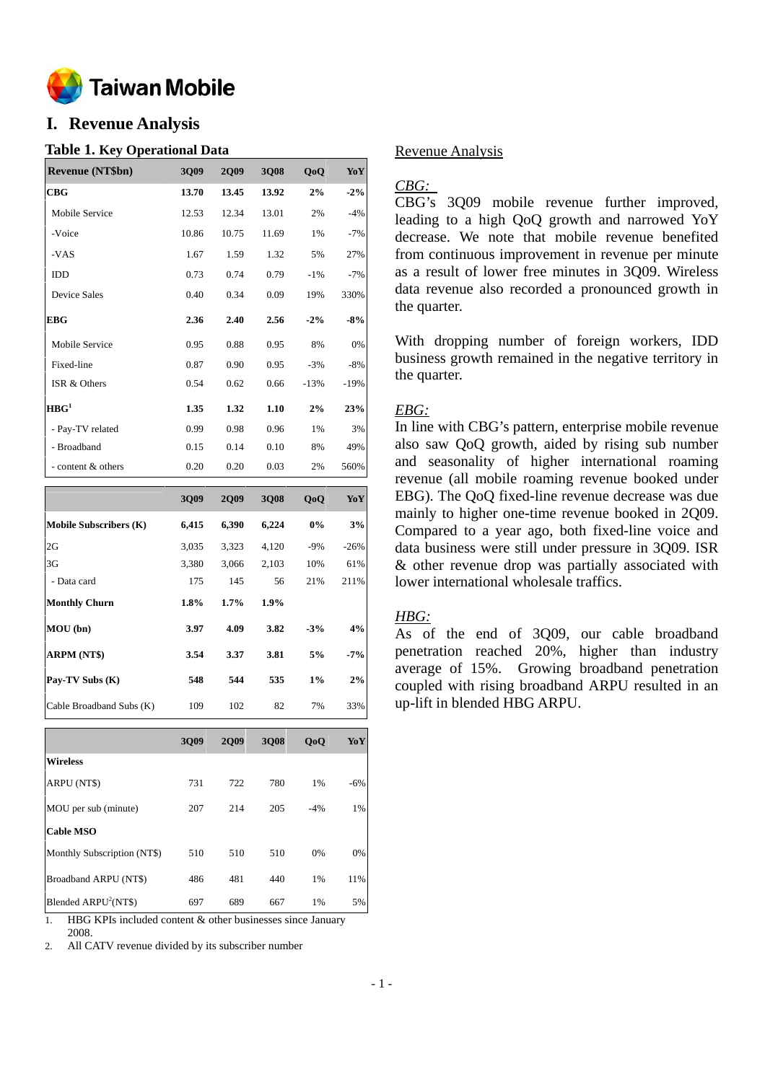

# **I. Revenue Analysis**

### **Table 1. Key Operational Data**

| <b>Revenue (NT\$bn)</b> | 3Q09  | <b>2Q09</b> | 3Q08  | QoQ    | YoY    |
|-------------------------|-------|-------------|-------|--------|--------|
| CBG                     | 13.70 | 13.45       | 13.92 | 2%     | $-2\%$ |
| Mobile Service          | 12.53 | 12.34       | 13.01 | 2%     | $-4%$  |
| -Voice                  | 10.86 | 10.75       | 11.69 | 1%     | $-7%$  |
| -VAS                    | 1.67  | 1.59        | 1.32  | 5%     | 27%    |
| IDD                     | 0.73  | 0.74        | 0.79  | $-1\%$ | $-7%$  |
| <b>Device Sales</b>     | 0.40  | 0.34        | 0.09  | 19%    | 330%   |
| <b>EBG</b>              | 2.36  | 2.40        | 2.56  | $-2\%$ | $-8%$  |
| Mobile Service          | 0.95  | 0.88        | 0.95  | 8%     | 0%     |
| Fixed-line              | 0.87  | 0.90        | 0.95  | $-3%$  | $-8%$  |
| ISR & Others            | 0.54  | 0.62        | 0.66  | $-13%$ | $-19%$ |
| HBG <sup>1</sup>        | 1.35  | 1.32        | 1.10  | 2%     | 23%    |
| - Pay-TV related        | 0.99  | 0.98        | 0.96  | 1%     | 3%     |
| - Broadband             | 0.15  | 0.14        | 0.10  | 8%     | 49%    |
| - content & others      | 0.20  | 0.20        | 0.03  | 2%     | 560%   |

|                               | 3009  | 2009    | 3008    | 0 <sub>0</sub> | YoY    |
|-------------------------------|-------|---------|---------|----------------|--------|
| <b>Mobile Subscribers (K)</b> | 6,415 | 6,390   | 6,224   | 0%             | 3%     |
| 2G                            | 3,035 | 3,323   | 4,120   | $-9%$          | $-26%$ |
| 3G                            | 3,380 | 3,066   | 2,103   | 10%            | 61%    |
| - Data card                   | 175   | 145     | 56      | 21%            | 211%   |
| <b>Monthly Churn</b>          | 1.8%  | $1.7\%$ | $1.9\%$ |                |        |
| MOU(bn)                       | 3.97  | 4.09    | 3.82    | $-3%$          | 4%     |
| <b>ARPM (NT\$)</b>            | 3.54  | 3.37    | 3.81    | 5%             | $-7%$  |
| Pay-TV Subs (K)               | 548   | 544     | 535     | $1\%$          | 2%     |
| Cable Broadband Subs (K)      | 109   | 102     | 82      | 7%             | 33%    |

|                             | 3009 | 2009 | 3008 | QoQ   | YoY   |
|-----------------------------|------|------|------|-------|-------|
| <b>Wireless</b>             |      |      |      |       |       |
| ARPU (NT\$)                 | 731  | 722  | 780  | 1%    | $-6%$ |
| MOU per sub (minute)        | 207  | 214  | 205  | $-4%$ | 1%    |
| <b>Cable MSO</b>            |      |      |      |       |       |
| Monthly Subscription (NT\$) | 510  | 510  | 510  | 0%    | 0%    |
| Broadband ARPU (NT\$)       | 486  | 481  | 440  | 1%    | 11%   |
| Blended $ARPU2(NT$)$        | 697  | 689  | 667  | 1%    | 5%    |

1. HBG KPIs included content & other businesses since January 2008.

2. All CATV revenue divided by its subscriber number

### Revenue Analysis

## *CBG:*

CBG's 3Q09 mobile revenue further improved, leading to a high QoQ growth and narrowed YoY decrease. We note that mobile revenue benefited from continuous improvement in revenue per minute as a result of lower free minutes in 3Q09. Wireless data revenue also recorded a pronounced growth in the quarter.

With dropping number of foreign workers, IDD business growth remained in the negative territory in the quarter.

### *EBG:*

In line with CBG's pattern, enterprise mobile revenue also saw QoQ growth, aided by rising sub number and seasonality of higher international roaming revenue (all mobile roaming revenue booked under EBG). The QoQ fixed-line revenue decrease was due mainly to higher one-time revenue booked in 2Q09. Compared to a year ago, both fixed-line voice and data business were still under pressure in 3Q09. ISR & other revenue drop was partially associated with lower international wholesale traffics.

# *HBG:*

As of the end of 3Q09, our cable broadband penetration reached 20%, higher than industry average of 15%. Growing broadband penetration coupled with rising broadband ARPU resulted in an up-lift in blended HBG ARPU.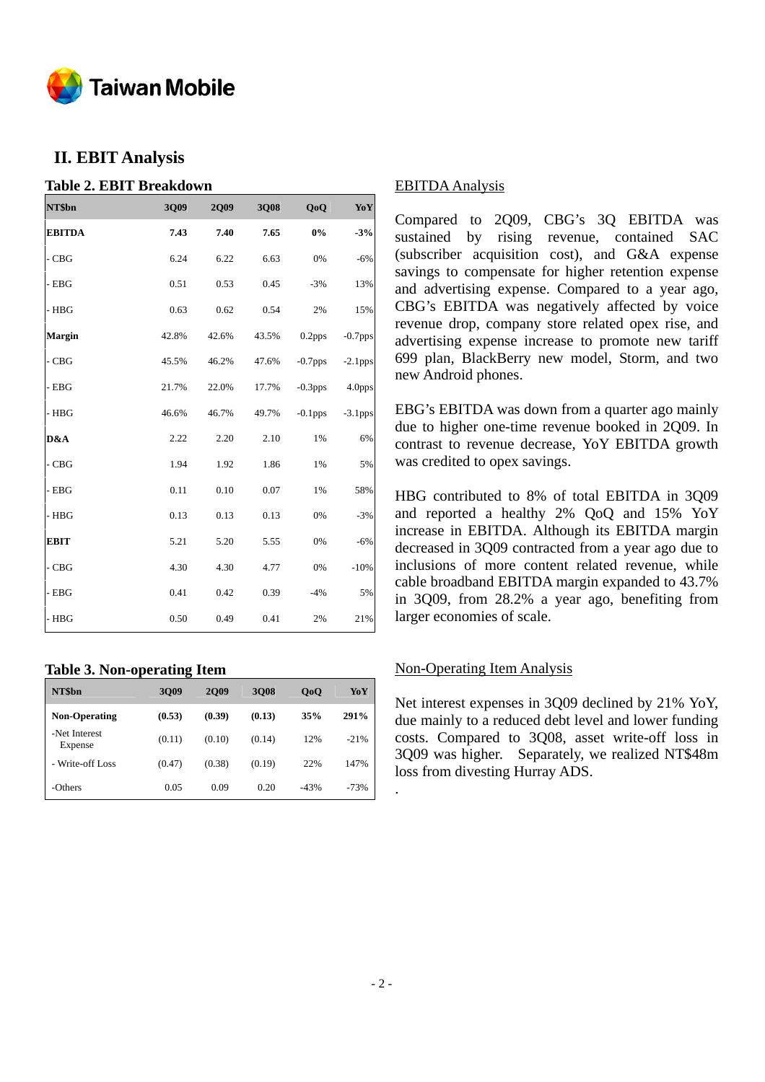

# **II. EBIT Analysis**

### **Table 2. EBIT Breakdown**

| NT\$bn        | 3Q09  | <b>2Q09</b> | 3Q08  | QoQ                | Yo Y       |
|---------------|-------|-------------|-------|--------------------|------------|
| <b>EBITDA</b> | 7.43  | 7.40        | 7.65  | $0\%$              | $-3%$      |
| $-CBG$        | 6.24  | 6.22        | 6.63  | 0%                 | $-6%$      |
| - EBG         | 0.51  | 0.53        | 0.45  | $-3%$              | 13%        |
| - HBG         | 0.63  | 0.62        | 0.54  | 2%                 | 15%        |
| <b>Margin</b> | 42.8% | 42.6%       | 43.5% | 0.2 <sub>pps</sub> | $-0.7$ pps |
| $-CBG$        | 45.5% | 46.2%       | 47.6% | $-0.7$ pps         | $-2.1$ pps |
| - EBG         | 21.7% | 22.0%       | 17.7% | $-0.3$ pps         | 4.0pps     |
| $-$ HBG       | 46.6% | 46.7%       | 49.7% | $-0.1$ pps         | $-3.1$ pps |
| D&A           | 2.22  | 2.20        | 2.10  | 1%                 | 6%         |
| $\sim$ CBG    | 1.94  | 1.92        | 1.86  | 1%                 | 5%         |
| - EBG         | 0.11  | 0.10        | 0.07  | 1%                 | 58%        |
| $-$ HBG       | 0.13  | 0.13        | 0.13  | 0%                 | $-3%$      |
| <b>EBIT</b>   | 5.21  | 5.20        | 5.55  | 0%                 | $-6%$      |
| $-CBG$        | 4.30  | 4.30        | 4.77  | 0%                 | $-10%$     |
| $-$ EBG       | 0.41  | 0.42        | 0.39  | $-4%$              | 5%         |
| $-$ HBG       | 0.50  | 0.49        | 0.41  | 2%                 | 21%        |

# **Table 3. Non-operating Item**

| NT\$bn                   | 3009   | <b>2009</b> | 3008   | QoQ    | YoY    |
|--------------------------|--------|-------------|--------|--------|--------|
| <b>Non-Operating</b>     | (0.53) | (0.39)      | (0.13) | 35%    | 291%   |
| -Net Interest<br>Expense | (0.11) | (0.10)      | (0.14) | 12%    | $-21%$ |
| - Write-off Loss         | (0.47) | (0.38)      | (0.19) | 22%    | 147%   |
| -Others                  | 0.05   | 0.09        | 0.20   | $-43%$ | $-73%$ |

#### EBITDA Analysis

Compared to 2Q09, CBG's 3Q EBITDA was sustained by rising revenue, contained SAC (subscriber acquisition cost), and G&A expense savings to compensate for higher retention expense and advertising expense. Compared to a year ago, CBG's EBITDA was negatively affected by voice revenue drop, company store related opex rise, and advertising expense increase to promote new tariff 699 plan, BlackBerry new model, Storm, and two new Android phones.

EBG's EBITDA was down from a quarter ago mainly due to higher one-time revenue booked in 2Q09. In contrast to revenue decrease, YoY EBITDA growth was credited to opex savings.

HBG contributed to 8% of total EBITDA in 3Q09 and reported a healthy 2% QoQ and 15% YoY increase in EBITDA. Although its EBITDA margin decreased in 3Q09 contracted from a year ago due to inclusions of more content related revenue, while cable broadband EBITDA margin expanded to 43.7% in 3Q09, from 28.2% a year ago, benefiting from larger economies of scale.

### Non-Operating Item Analysis

Net interest expenses in 3Q09 declined by 21% YoY, due mainly to a reduced debt level and lower funding costs. Compared to 3Q08, asset write-off loss in 3Q09 was higher. Separately, we realized NT\$48m loss from divesting Hurray ADS.

.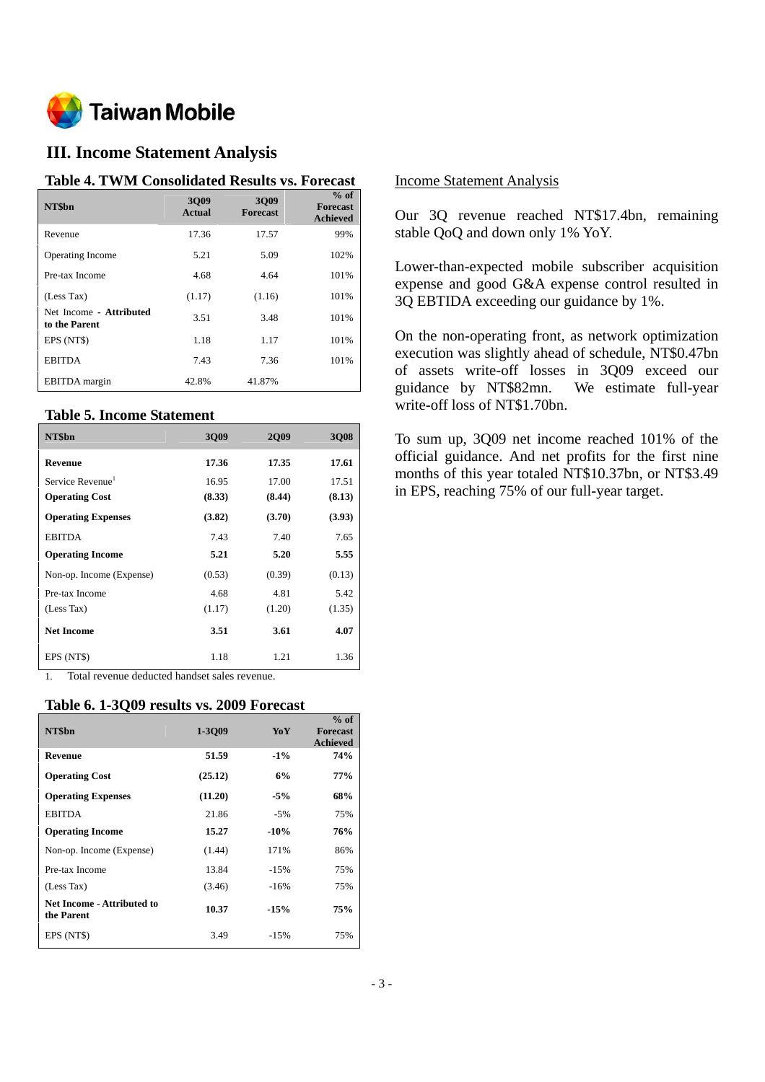

# **III. Income Statement Analysis**

#### **Table 4. TWM Consolidated Results vs. Forecast**

| NT\$bn                                   | 3009<br>Actual | 3009<br><b>Forecast</b> | $%$ of<br><b>Forecast</b><br><b>Achieved</b> |
|------------------------------------------|----------------|-------------------------|----------------------------------------------|
| Revenue                                  | 17.36          | 17.57                   | 99%                                          |
| <b>Operating Income</b>                  | 5.21           | 5.09                    | 102%                                         |
| Pre-tax Income                           | 4.68           | 4.64                    | 101%                                         |
| (Less Tax)                               | (1.17)         | (1.16)                  | 101%                                         |
| Net Income - Attributed<br>to the Parent | 3.51           | 3.48                    | 101%                                         |
| EPS (NT\$)                               | 1.18           | 1.17                    | 101%                                         |
| <b>EBITDA</b>                            | 7.43           | 7.36                    | 101%                                         |
| <b>EBITDA</b> margin                     | 42.8%          | 41.87%                  |                                              |

#### **Table 5. Income Statement**

| NT\$bn                       | 3009   | 2009   | 3Q08   |
|------------------------------|--------|--------|--------|
| Revenue                      | 17.36  | 17.35  | 17.61  |
| Service Revenue <sup>1</sup> | 16.95  | 17.00  | 17.51  |
| <b>Operating Cost</b>        | (8.33) | (8.44) | (8.13) |
| <b>Operating Expenses</b>    | (3.82) | (3.70) | (3.93) |
| <b>EBITDA</b>                | 7.43   | 7.40   | 7.65   |
| <b>Operating Income</b>      | 5.21   | 5.20   | 5.55   |
| Non-op. Income (Expense)     | (0.53) | (0.39) | (0.13) |
| Pre-tax Income               | 4.68   | 4.81   | 5.42   |
| (Less Tax)                   | (1.17) | (1.20) | (1.35) |
| <b>Net Income</b>            | 3.51   | 3.61   | 4.07   |
| EPS (NT\$)                   | 1.18   | 1.21   | 1.36   |

1. Total revenue deducted handset sales revenue.

#### **Table 6. 1-3Q09 results vs. 2009 Forecast**

| NT\$bn                                   | 1-3Q09  | YoY    | $%$ of<br><b>Forecast</b><br>Achieved |
|------------------------------------------|---------|--------|---------------------------------------|
| Revenue                                  | 51.59   | $-1\%$ | 74%                                   |
| <b>Operating Cost</b>                    | (25.12) | 6%     | 77%                                   |
| <b>Operating Expenses</b>                | (11.20) | $-5%$  | 68%                                   |
| <b>EBITDA</b>                            | 21.86   | $-5%$  | 75%                                   |
| <b>Operating Income</b>                  | 15.27   | $-10%$ | 76%                                   |
| Non-op. Income (Expense)                 | (1.44)  | 171%   | 86%                                   |
| Pre-tax Income                           | 13.84   | $-15%$ | 75%                                   |
| (Less Tax)                               | (3.46)  | $-16%$ | 75%                                   |
| Net Income - Attributed to<br>the Parent | 10.37   | $-15%$ | 75%                                   |
| EPS (NT\$)                               | 3.49    | $-15%$ | 75%                                   |

#### Income Statement Analysis

Our 3Q revenue reached NT\$17.4bn, remaining stable QoQ and down only 1% YoY.

Lower-than-expected mobile subscriber acquisition expense and good G&A expense control resulted in 3Q EBTIDA exceeding our guidance by 1%.

On the non-operating front, as network optimization execution was slightly ahead of schedule, NT\$0.47bn of assets write-off losses in 3Q09 exceed our guidance by NT\$82mn. We estimate full-year write-off loss of NT\$1.70bn.

To sum up, 3Q09 net income reached 101% of the official guidance. And net profits for the first nine months of this year totaled NT\$10.37bn, or NT\$3.49 in EPS, reaching 75% of our full-year target.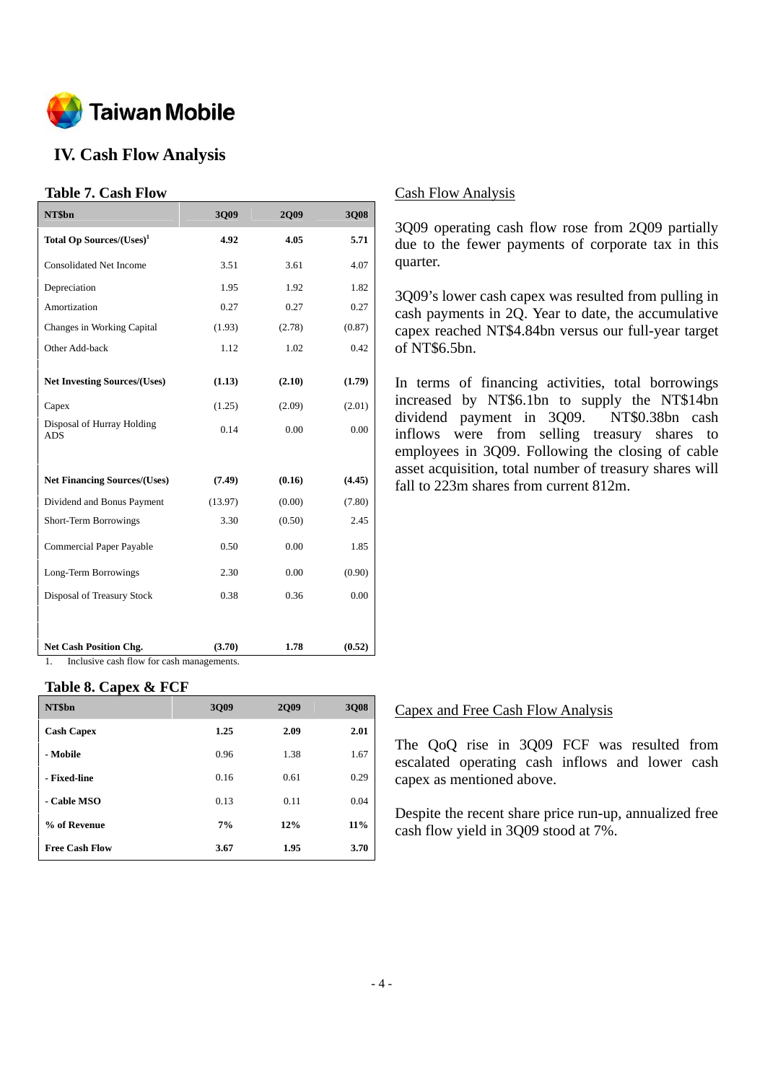

# **IV. Cash Flow Analysis**

#### **Table 7. Cash Flow**

| NT\$bn                                   | 3Q09    | <b>2Q09</b> | 3Q08   |
|------------------------------------------|---------|-------------|--------|
| Total Op Sources/(Uses) <sup>1</sup>     | 4.92    | 4.05        | 5.71   |
| <b>Consolidated Net Income</b>           | 3.51    | 3.61        | 4.07   |
| Depreciation                             | 1.95    | 1.92        | 1.82   |
| Amortization                             | 0.27    | 0.27        | 0.27   |
| Changes in Working Capital               | (1.93)  | (2.78)      | (0.87) |
| Other Add-back                           | 1.12    | 1.02        | 0.42   |
|                                          |         |             |        |
| <b>Net Investing Sources/(Uses)</b>      | (1.13)  | (2.10)      | (1.79) |
| Capex                                    | (1.25)  | (2.09)      | (2.01) |
| Disposal of Hurray Holding<br><b>ADS</b> | 0.14    | 0.00        | 0.00   |
|                                          |         |             |        |
| <b>Net Financing Sources/(Uses)</b>      | (7.49)  | (0.16)      | (4.45) |
| Dividend and Bonus Payment               | (13.97) | (0.00)      | (7.80) |
| Short-Term Borrowings                    | 3.30    | (0.50)      | 2.45   |
| Commercial Paper Payable                 | 0.50    | 0.00        | 1.85   |
| Long-Term Borrowings                     | 2.30    | 0.00        | (0.90) |
| Disposal of Treasury Stock               | 0.38    | 0.36        | 0.00   |
|                                          |         |             |        |
| <b>Net Cash Position Chg.</b>            | (3.70)  | 1.78        | (0.52) |

1. Inclusive cash flow for cash managements.

#### **Table 8. Capex & FCF**

| NT\$bn                | 3Q09 | <b>2Q09</b> | 3Q08 |
|-----------------------|------|-------------|------|
| <b>Cash Capex</b>     | 1.25 | 2.09        | 2.01 |
| - Mobile              | 0.96 | 1.38        | 1.67 |
| - Fixed-line          | 0.16 | 0.61        | 0.29 |
| - Cable MSO           | 0.13 | 0.11        | 0.04 |
| % of Revenue          | 7%   | 12%         | 11%  |
| <b>Free Cash Flow</b> | 3.67 | 1.95        | 3.70 |

#### Cash Flow Analysis

3Q09 operating cash flow rose from 2Q09 partially due to the fewer payments of corporate tax in this quarter.

3Q09's lower cash capex was resulted from pulling in cash payments in 2Q. Year to date, the accumulative capex reached NT\$4.84bn versus our full-year target of NT\$6.5bn.

In terms of financing activities, total borrowings increased by NT\$6.1bn to supply the NT\$14bn dividend payment in 3Q09. NT\$0.38bn cash inflows were from selling treasury shares to employees in 3Q09. Following the closing of cable asset acquisition, total number of treasury shares will fall to 223m shares from current 812m.

#### Capex and Free Cash Flow Analysis

The QoQ rise in 3Q09 FCF was resulted from escalated operating cash inflows and lower cash capex as mentioned above.

Despite the recent share price run-up, annualized free cash flow yield in 3Q09 stood at 7%.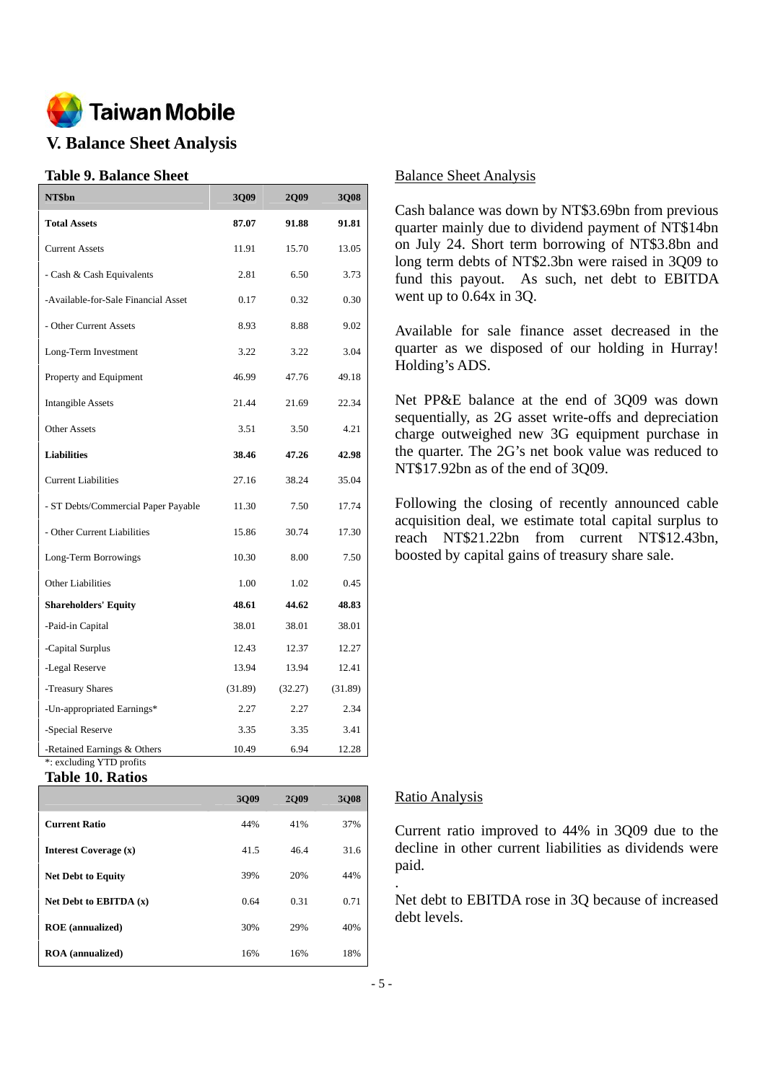

# **V. Balance Sheet Analysis**

### **Table 9. Balance Sheet**

| NT\$bn                                                  | 3Q09    | <b>2Q09</b> | 3Q08    |
|---------------------------------------------------------|---------|-------------|---------|
| <b>Total Assets</b>                                     | 87.07   | 91.88       | 91.81   |
| <b>Current Assets</b>                                   | 11.91   | 15.70       | 13.05   |
| - Cash & Cash Equivalents                               | 2.81    | 6.50        | 3.73    |
| -Available-for-Sale Financial Asset                     | 0.17    | 0.32        | 0.30    |
| - Other Current Assets                                  | 8.93    | 8.88        | 9.02    |
| Long-Term Investment                                    | 3.22    | 3.22        | 3.04    |
| Property and Equipment                                  | 46.99   | 47.76       | 49.18   |
| <b>Intangible Assets</b>                                | 21.44   | 21.69       | 22.34   |
| <b>Other Assets</b>                                     | 3.51    | 3.50        | 4.21    |
| <b>Liabilities</b>                                      | 38.46   | 47.26       | 42.98   |
| <b>Current Liabilities</b>                              | 27.16   | 38.24       | 35.04   |
| - ST Debts/Commercial Paper Payable                     | 11.30   | 7.50        | 17.74   |
| - Other Current Liabilities                             | 15.86   | 30.74       | 17.30   |
| Long-Term Borrowings                                    | 10.30   | 8.00        | 7.50    |
| <b>Other Liabilities</b>                                | 1.00    | 1.02        | 0.45    |
| <b>Shareholders' Equity</b>                             | 48.61   | 44.62       | 48.83   |
| -Paid-in Capital                                        | 38.01   | 38.01       | 38.01   |
| -Capital Surplus                                        | 12.43   | 12.37       | 12.27   |
| -Legal Reserve                                          | 13.94   | 13.94       | 12.41   |
| -Treasury Shares                                        | (31.89) | (32.27)     | (31.89) |
| -Un-appropriated Earnings*                              | 2.27    | 2.27        | 2.34    |
| -Special Reserve                                        | 3.35    | 3.35        | 3.41    |
| -Retained Earnings & Others<br>*: excluding YTD profits | 10.49   | 6.94        | 12.28   |

#### **Table 10. Ratios**

|                           | 3009 | 2009 | 3008 |
|---------------------------|------|------|------|
| <b>Current Ratio</b>      | 44%  | 41%  | 37%  |
| Interest Coverage (x)     | 41.5 | 46.4 | 31.6 |
| <b>Net Debt to Equity</b> | 39%  | 20%  | 44%  |
| Net Debt to EBITDA $(x)$  | 0.64 | 0.31 | 0.71 |
| <b>ROE</b> (annualized)   | 30%  | 29%  | 40%  |
| <b>ROA</b> (annualized)   | 16%  | 16%  | 18%  |

#### Balance Sheet Analysis

Cash balance was down by NT\$3.69bn from previous quarter mainly due to dividend payment of NT\$14bn on July 24. Short term borrowing of NT\$3.8bn and long term debts of NT\$2.3bn were raised in 3Q09 to fund this payout. As such, net debt to EBITDA went up to 0.64x in 3Q.

Available for sale finance asset decreased in the quarter as we disposed of our holding in Hurray! Holding's ADS.

Net PP&E balance at the end of 3Q09 was down sequentially, as 2G asset write-offs and depreciation charge outweighed new 3G equipment purchase in the quarter. The 2G's net book value was reduced to NT\$17.92bn as of the end of 3Q09.

Following the closing of recently announced cable acquisition deal, we estimate total capital surplus to reach NT\$21.22bn from current NT\$12.43bn, boosted by capital gains of treasury share sale.

#### Ratio Analysis

Current ratio improved to 44% in 3Q09 due to the decline in other current liabilities as dividends were paid.

Net debt to EBITDA rose in 3Q because of increased debt levels.

.